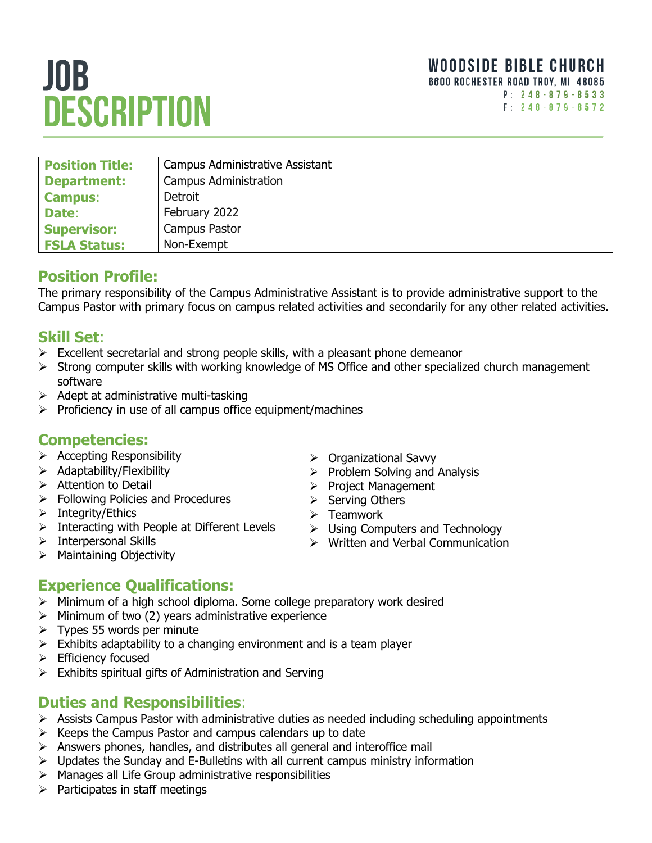# JOB. **DESCRIPTION**

| <b>Position Title:</b> | Campus Administrative Assistant |
|------------------------|---------------------------------|
| <b>Department:</b>     | Campus Administration           |
| <b>Campus:</b>         | Detroit                         |
| Date:                  | February 2022                   |
| <b>Supervisor:</b>     | <b>Campus Pastor</b>            |
| <b>FSLA Status:</b>    | Non-Exempt                      |

# **Position Profile:**

The primary responsibility of the Campus Administrative Assistant is to provide administrative support to the Campus Pastor with primary focus on campus related activities and secondarily for any other related activities.

## **Skill Set**:

- $\triangleright$  Excellent secretarial and strong people skills, with a pleasant phone demeanor
- ➢ Strong computer skills with working knowledge of MS Office and other specialized church management software
- $\triangleright$  Adept at administrative multi-tasking
- ➢ Proficiency in use of all campus office equipment/machines

#### **Competencies:**

- ➢ Accepting Responsibility
- ➢ Adaptability/Flexibility
- ➢ Attention to Detail
- ➢ Following Policies and Procedures
- ➢ Integrity/Ethics
- ➢ Interacting with People at Different Levels
- ➢ Interpersonal Skills
- ➢ Maintaining Objectivity
- ➢ Organizational Savvy
- $\triangleright$  Problem Solving and Analysis
- ➢ Project Management
- ➢ Serving Others
- ➢ Teamwork
- ➢ Using Computers and Technology
- ➢ Written and Verbal Communication

# **Experience Qualifications:**

- ➢ Minimum of a high school diploma. Some college preparatory work desired
- $\triangleright$  Minimum of two (2) years administrative experience
- $\triangleright$  Types 55 words per minute
- $\triangleright$  Exhibits adaptability to a changing environment and is a team player
- ➢ Efficiency focused
- $\triangleright$  Exhibits spiritual gifts of Administration and Serving

#### **Duties and Responsibilities**:

- $\triangleright$  Assists Campus Pastor with administrative duties as needed including scheduling appointments
- $\triangleright$  Keeps the Campus Pastor and campus calendars up to date
- ➢ Answers phones, handles, and distributes all general and interoffice mail
- $\triangleright$  Updates the Sunday and E-Bulletins with all current campus ministry information
- ➢ Manages all Life Group administrative responsibilities
- $\triangleright$  Participates in staff meetings